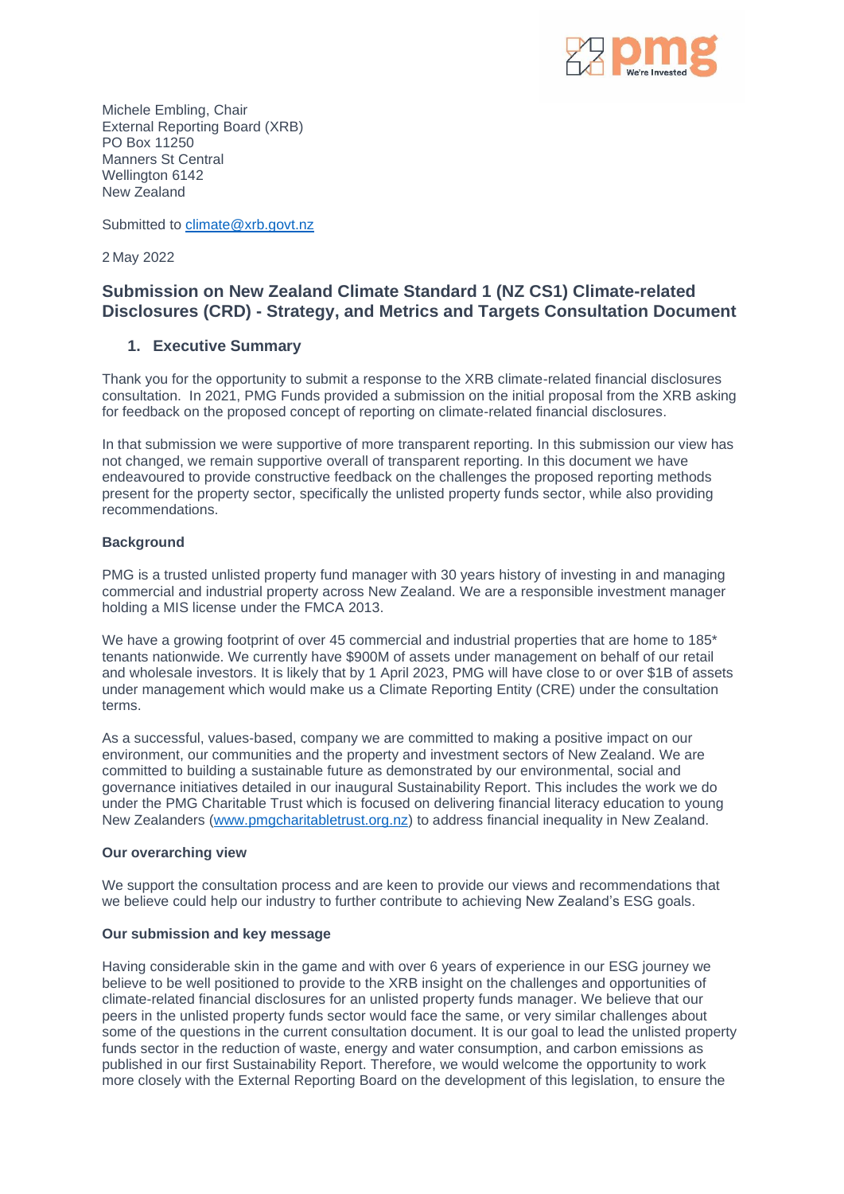

Michele Embling, Chair External Reporting Board (XRB) PO Box 11250 Manners St Central Wellington 6142 New Zealand

Submitted to [climate@xrb.govt.nz](mailto:climate@xrb.govt.nz)

2 May 2022

# **Submission on New Zealand Climate Standard 1 (NZ CS1) Climate-related Disclosures (CRD) - Strategy, and Metrics and Targets Consultation Document**

## **1. Executive Summary**

Thank you for the opportunity to submit a response to the XRB climate-related financial disclosures consultation. In 2021, PMG Funds provided a submission on the initial proposal from the XRB asking for feedback on the proposed concept of reporting on climate-related financial disclosures.

In that submission we were supportive of more transparent reporting. In this submission our view has not changed, we remain supportive overall of transparent reporting. In this document we have endeavoured to provide constructive feedback on the challenges the proposed reporting methods present for the property sector, specifically the unlisted property funds sector, while also providing recommendations.

#### **Background**

PMG is a trusted unlisted property fund manager with 30 years history of investing in and managing commercial and industrial property across New Zealand. We are a responsible investment manager holding a MIS license under the FMCA 2013.

We have a growing footprint of over 45 commercial and industrial properties that are home to 185\* tenants nationwide. We currently have \$900M of assets under management on behalf of our retail and wholesale investors. It is likely that by 1 April 2023, PMG will have close to or over \$1B of assets under management which would make us a Climate Reporting Entity (CRE) under the consultation terms.

As a successful, values-based, company we are committed to making a positive impact on our environment, our communities and the property and investment sectors of New Zealand. We are committed to building a sustainable future as demonstrated by our environmental, social and governance initiatives detailed in our inaugural Sustainability Report. This includes the work we do under the PMG Charitable Trust which is focused on delivering financial literacy education to young New Zealanders [\(www.pmgcharitabletrust.org.nz\)](http://www.pmgcharitabletrust.org.nz/) to address financial inequality in New Zealand.

#### **Our overarching view**

We support the consultation process and are keen to provide our views and recommendations that we believe could help our industry to further contribute to achieving New Zealand's ESG goals.

### **Our submission and key message**

Having considerable skin in the game and with over 6 years of experience in our ESG journey we believe to be well positioned to provide to the XRB insight on the challenges and opportunities of climate-related financial disclosures for an unlisted property funds manager. We believe that our peers in the unlisted property funds sector would face the same, or very similar challenges about some of the questions in the current consultation document. It is our goal to lead the unlisted property funds sector in the reduction of waste, energy and water consumption, and carbon emissions as published in our first Sustainability Report. Therefore, we would welcome the opportunity to work more closely with the External Reporting Board on the development of this legislation, to ensure the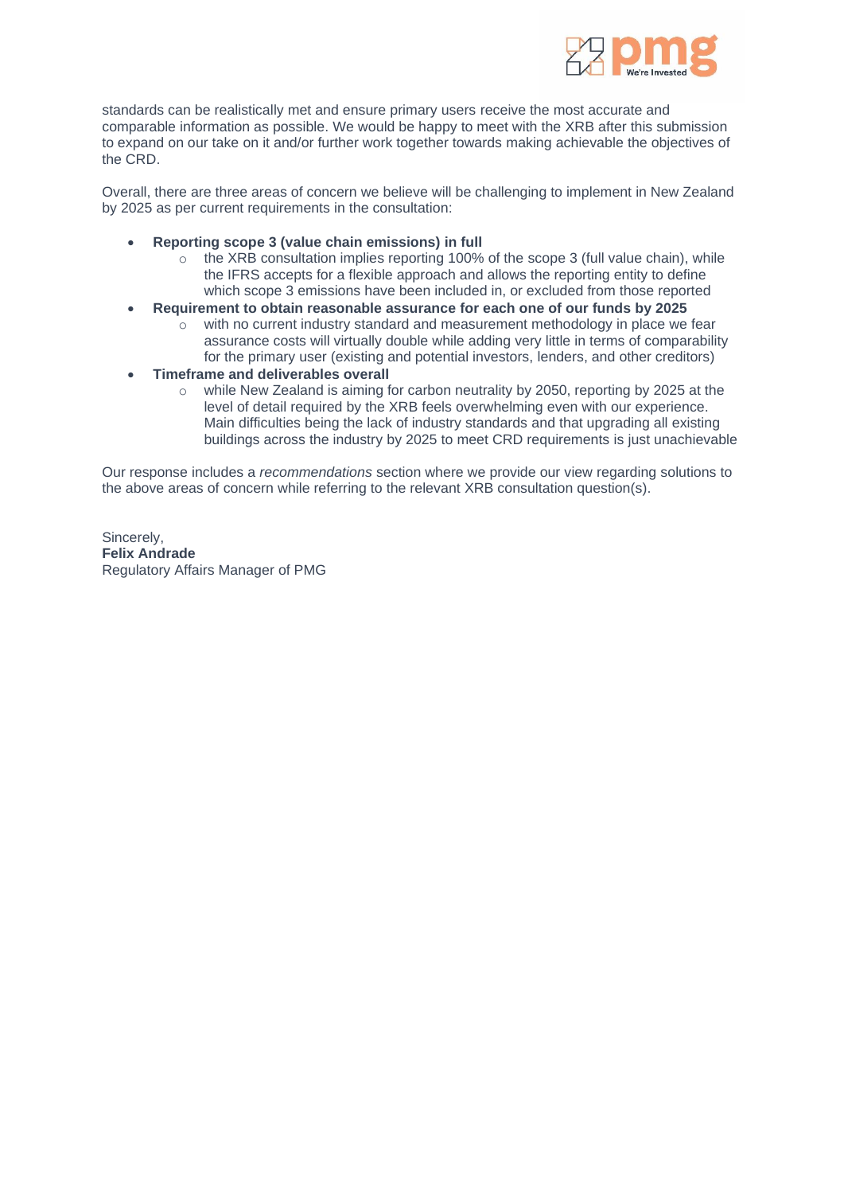

standards can be realistically met and ensure primary users receive the most accurate and comparable information as possible. We would be happy to meet with the XRB after this submission to expand on our take on it and/or further work together towards making achievable the objectives of the CRD.

Overall, there are three areas of concern we believe will be challenging to implement in New Zealand by 2025 as per current requirements in the consultation:

- **Reporting scope 3 (value chain emissions) in full**
	- $\circ$  the XRB consultation implies reporting 100% of the scope 3 (full value chain), while the IFRS accepts for a flexible approach and allows the reporting entity to define which scope 3 emissions have been included in, or excluded from those reported
- **Requirement to obtain reasonable assurance for each one of our funds by 2025**
	- $\circ$  with no current industry standard and measurement methodology in place we fear assurance costs will virtually double while adding very little in terms of comparability for the primary user (existing and potential investors, lenders, and other creditors)
- **Timeframe and deliverables overall**
	- o while New Zealand is aiming for carbon neutrality by 2050, reporting by 2025 at the level of detail required by the XRB feels overwhelming even with our experience. Main difficulties being the lack of industry standards and that upgrading all existing buildings across the industry by 2025 to meet CRD requirements is just unachievable

Our response includes a *recommendations* section where we provide our view regarding solutions to the above areas of concern while referring to the relevant XRB consultation question(s).

Sincerely, **Felix Andrade** Regulatory Affairs Manager of PMG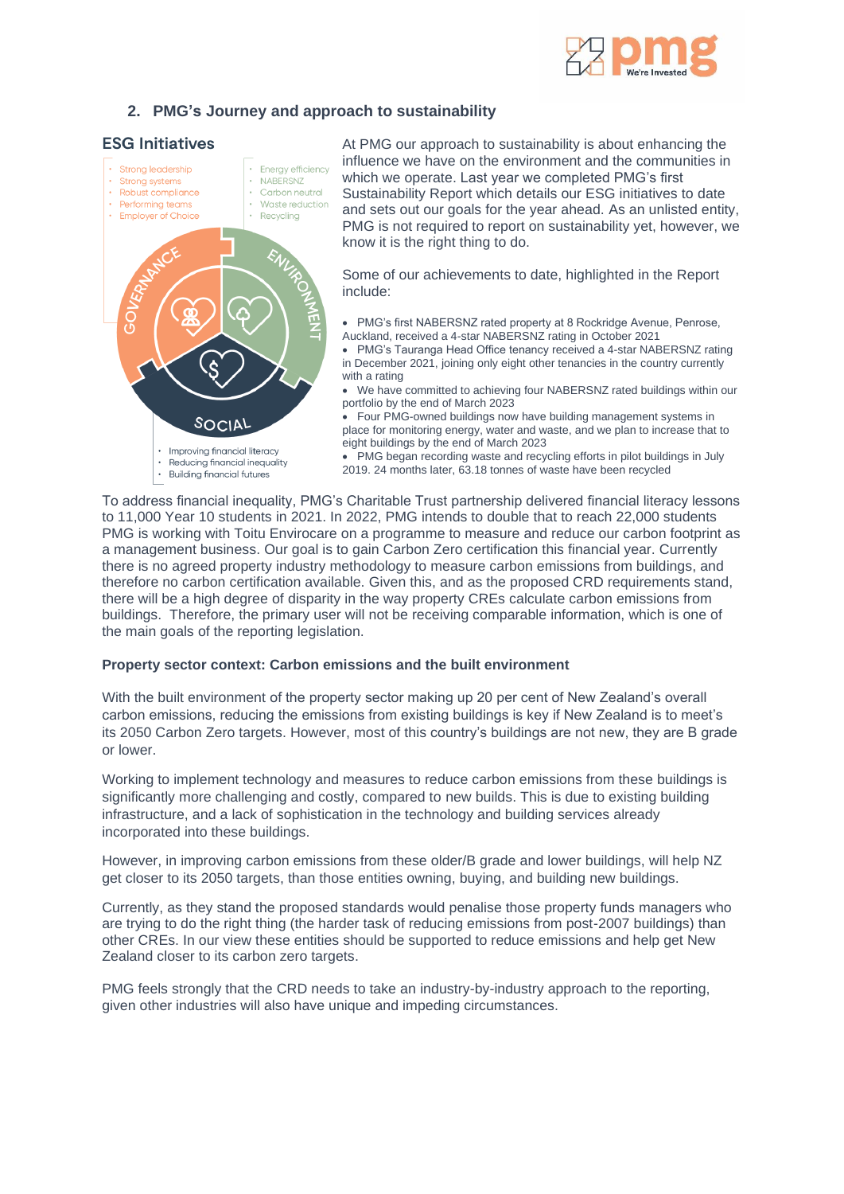

## **2. PMG's Journey and approach to sustainability**

### **ESG Initiatives**



To address financial inequality, PMG's Charitable Trust partnership delivered financial literacy lessons to 11,000 Year 10 students in 2021. In 2022, PMG intends to double that to reach 22,000 students PMG is working with Toitu Envirocare on a programme to measure and reduce our carbon footprint as a management business. Our goal is to gain Carbon Zero certification this financial year. Currently there is no agreed property industry methodology to measure carbon emissions from buildings, and therefore no carbon certification available. Given this, and as the proposed CRD requirements stand, there will be a high degree of disparity in the way property CREs calculate carbon emissions from buildings. Therefore, the primary user will not be receiving comparable information, which is one of the main goals of the reporting legislation.

#### **Property sector context: Carbon emissions and the built environment**

With the built environment of the property sector making up 20 per cent of New Zealand's overall carbon emissions, reducing the emissions from existing buildings is key if New Zealand is to meet's its 2050 Carbon Zero targets. However, most of this country's buildings are not new, they are B grade or lower.

Working to implement technology and measures to reduce carbon emissions from these buildings is significantly more challenging and costly, compared to new builds. This is due to existing building infrastructure, and a lack of sophistication in the technology and building services already incorporated into these buildings.

However, in improving carbon emissions from these older/B grade and lower buildings, will help NZ get closer to its 2050 targets, than those entities owning, buying, and building new buildings.

Currently, as they stand the proposed standards would penalise those property funds managers who are trying to do the right thing (the harder task of reducing emissions from post-2007 buildings) than other CREs. In our view these entities should be supported to reduce emissions and help get New Zealand closer to its carbon zero targets.

PMG feels strongly that the CRD needs to take an industry-by-industry approach to the reporting, given other industries will also have unique and impeding circumstances.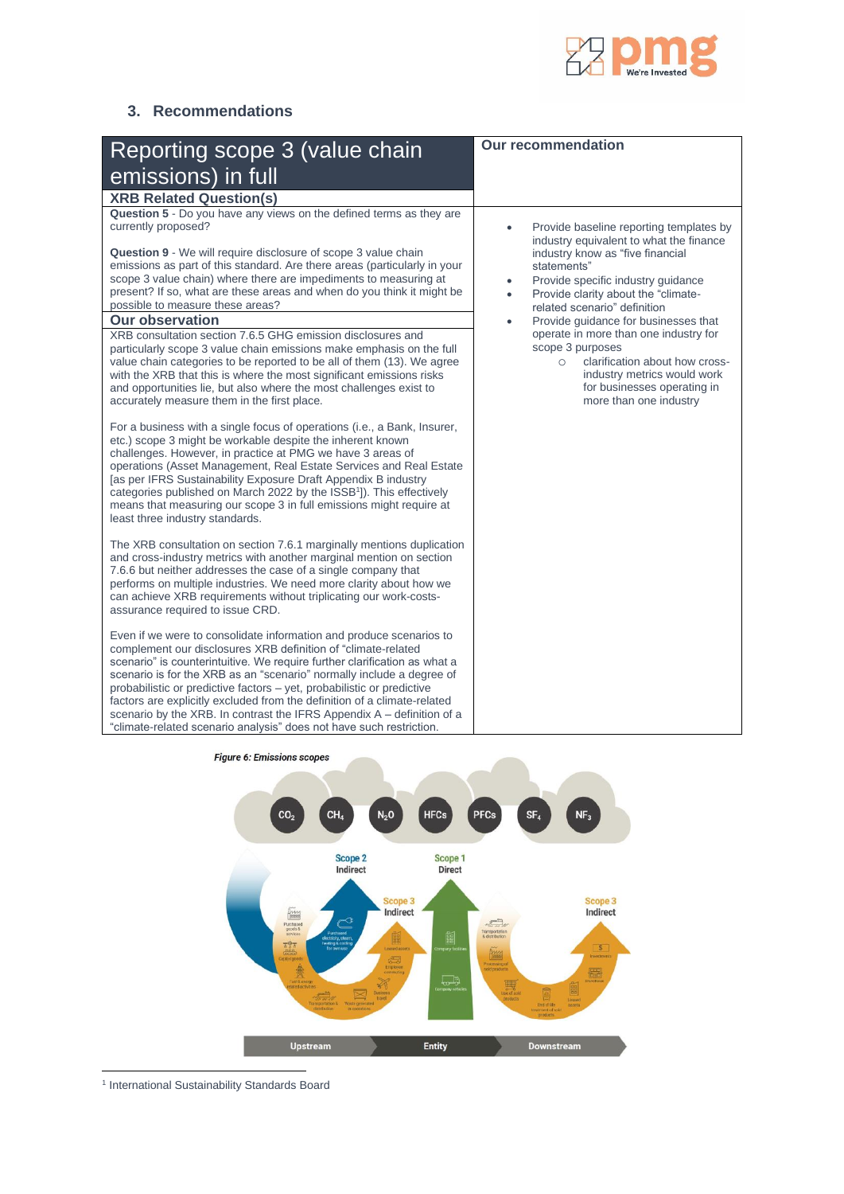

## **3. Recommendations**

|                                                                                                                                                                                                                                                                                                                                                                                                                                                                                                                                                                                                                                                                                                                                                                                                                                                | <b>Our recommendation</b>                                                                                                                                                                      |
|------------------------------------------------------------------------------------------------------------------------------------------------------------------------------------------------------------------------------------------------------------------------------------------------------------------------------------------------------------------------------------------------------------------------------------------------------------------------------------------------------------------------------------------------------------------------------------------------------------------------------------------------------------------------------------------------------------------------------------------------------------------------------------------------------------------------------------------------|------------------------------------------------------------------------------------------------------------------------------------------------------------------------------------------------|
| Reporting scope 3 (value chain                                                                                                                                                                                                                                                                                                                                                                                                                                                                                                                                                                                                                                                                                                                                                                                                                 |                                                                                                                                                                                                |
| emissions) in full                                                                                                                                                                                                                                                                                                                                                                                                                                                                                                                                                                                                                                                                                                                                                                                                                             |                                                                                                                                                                                                |
| <b>XRB Related Question(s)</b>                                                                                                                                                                                                                                                                                                                                                                                                                                                                                                                                                                                                                                                                                                                                                                                                                 |                                                                                                                                                                                                |
| Question 5 - Do you have any views on the defined terms as they are<br>currently proposed?                                                                                                                                                                                                                                                                                                                                                                                                                                                                                                                                                                                                                                                                                                                                                     | Provide baseline reporting templates by<br>industry equivalent to what the finance                                                                                                             |
| <b>Question 9</b> - We will require disclosure of scope 3 value chain<br>emissions as part of this standard. Are there areas (particularly in your<br>scope 3 value chain) where there are impediments to measuring at<br>present? If so, what are these areas and when do you think it might be<br>possible to measure these areas?                                                                                                                                                                                                                                                                                                                                                                                                                                                                                                           | industry know as "five financial<br>statements"<br>Provide specific industry guidance<br>$\bullet$<br>Provide clarity about the "climate-<br>$\bullet$<br>related scenario" definition         |
| <b>Our observation</b>                                                                                                                                                                                                                                                                                                                                                                                                                                                                                                                                                                                                                                                                                                                                                                                                                         | Provide guidance for businesses that<br>$\bullet$                                                                                                                                              |
| XRB consultation section 7.6.5 GHG emission disclosures and<br>particularly scope 3 value chain emissions make emphasis on the full<br>value chain categories to be reported to be all of them (13). We agree<br>with the XRB that this is where the most significant emissions risks<br>and opportunities lie, but also where the most challenges exist to<br>accurately measure them in the first place.<br>For a business with a single focus of operations (i.e., a Bank, Insurer,<br>etc.) scope 3 might be workable despite the inherent known<br>challenges. However, in practice at PMG we have 3 areas of<br>operations (Asset Management, Real Estate Services and Real Estate<br>[as per IFRS Sustainability Exposure Draft Appendix B industry<br>categories published on March 2022 by the ISSB <sup>1</sup> ]). This effectively | operate in more than one industry for<br>scope 3 purposes<br>clarification about how cross-<br>$\circ$<br>industry metrics would work<br>for businesses operating in<br>more than one industry |
| means that measuring our scope 3 in full emissions might require at<br>least three industry standards.                                                                                                                                                                                                                                                                                                                                                                                                                                                                                                                                                                                                                                                                                                                                         |                                                                                                                                                                                                |
| The XRB consultation on section 7.6.1 marginally mentions duplication<br>and cross-industry metrics with another marginal mention on section<br>7.6.6 but neither addresses the case of a single company that<br>performs on multiple industries. We need more clarity about how we<br>can achieve XRB requirements without triplicating our work-costs-<br>assurance required to issue CRD.                                                                                                                                                                                                                                                                                                                                                                                                                                                   |                                                                                                                                                                                                |
| Even if we were to consolidate information and produce scenarios to<br>complement our disclosures XRB definition of "climate-related<br>scenario" is counterintuitive. We require further clarification as what a<br>scenario is for the XRB as an "scenario" normally include a degree of<br>probabilistic or predictive factors - yet, probabilistic or predictive<br>factors are explicitly excluded from the definition of a climate-related<br>scenario by the XRB. In contrast the IFRS Appendix A - definition of a<br>"climate-related scenario analysis" does not have such restriction.                                                                                                                                                                                                                                              |                                                                                                                                                                                                |



<sup>1</sup> International Sustainability Standards Board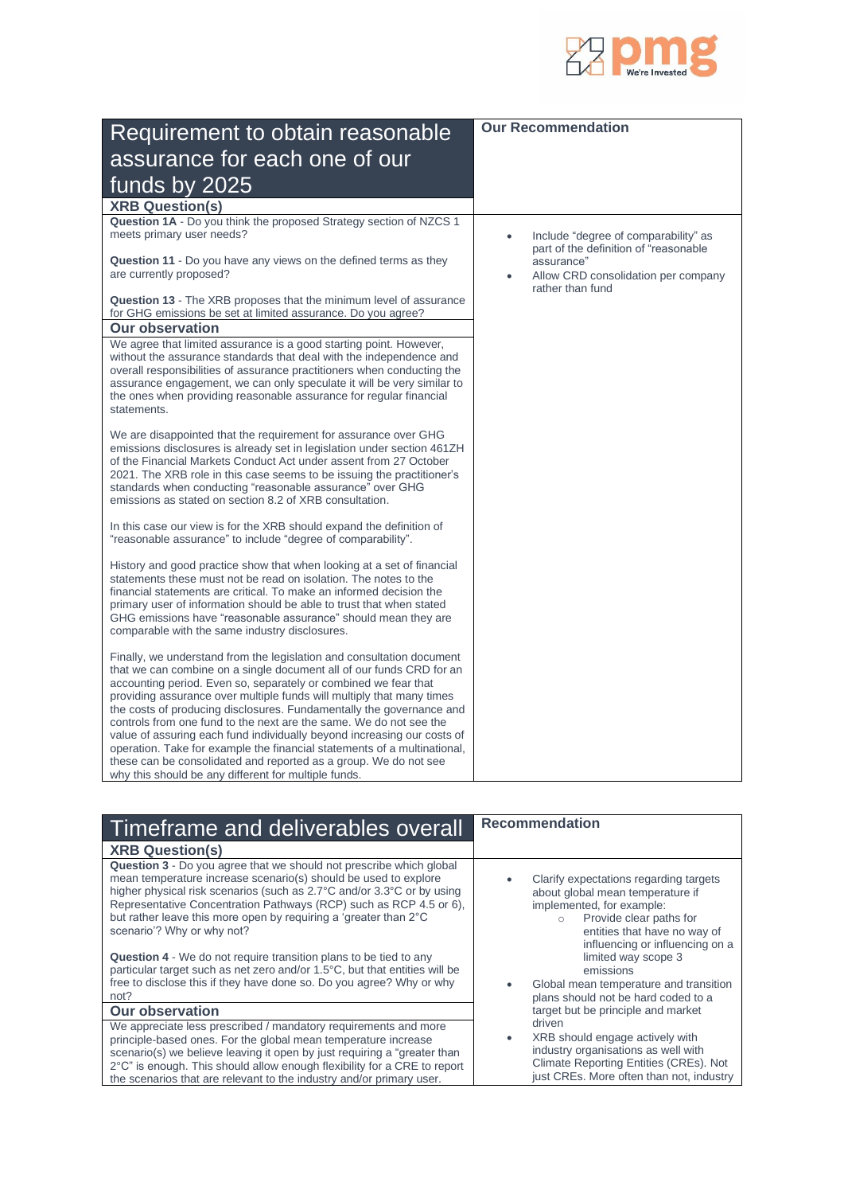

| Requirement to obtain reasonable                                                                                                                                                                                                                                                                                                                                                                                                                                                                                                                                                                                                                                                                                           | <b>Our Recommendation</b>                                                                               |
|----------------------------------------------------------------------------------------------------------------------------------------------------------------------------------------------------------------------------------------------------------------------------------------------------------------------------------------------------------------------------------------------------------------------------------------------------------------------------------------------------------------------------------------------------------------------------------------------------------------------------------------------------------------------------------------------------------------------------|---------------------------------------------------------------------------------------------------------|
| assurance for each one of our                                                                                                                                                                                                                                                                                                                                                                                                                                                                                                                                                                                                                                                                                              |                                                                                                         |
|                                                                                                                                                                                                                                                                                                                                                                                                                                                                                                                                                                                                                                                                                                                            |                                                                                                         |
| funds by 2025                                                                                                                                                                                                                                                                                                                                                                                                                                                                                                                                                                                                                                                                                                              |                                                                                                         |
| <b>XRB Question(s)</b><br>Question 1A - Do you think the proposed Strategy section of NZCS 1                                                                                                                                                                                                                                                                                                                                                                                                                                                                                                                                                                                                                               |                                                                                                         |
| meets primary user needs?                                                                                                                                                                                                                                                                                                                                                                                                                                                                                                                                                                                                                                                                                                  | Include "degree of comparability" as                                                                    |
| Question 11 - Do you have any views on the defined terms as they<br>are currently proposed?                                                                                                                                                                                                                                                                                                                                                                                                                                                                                                                                                                                                                                | part of the definition of "reasonable<br>assurance"<br>Allow CRD consolidation per company<br>$\bullet$ |
| <b>Question 13</b> - The XRB proposes that the minimum level of assurance<br>for GHG emissions be set at limited assurance. Do you agree?                                                                                                                                                                                                                                                                                                                                                                                                                                                                                                                                                                                  | rather than fund                                                                                        |
| <b>Our observation</b>                                                                                                                                                                                                                                                                                                                                                                                                                                                                                                                                                                                                                                                                                                     |                                                                                                         |
| We agree that limited assurance is a good starting point. However,<br>without the assurance standards that deal with the independence and<br>overall responsibilities of assurance practitioners when conducting the<br>assurance engagement, we can only speculate it will be very similar to<br>the ones when providing reasonable assurance for regular financial<br>statements.                                                                                                                                                                                                                                                                                                                                        |                                                                                                         |
| We are disappointed that the requirement for assurance over GHG<br>emissions disclosures is already set in legislation under section 461ZH<br>of the Financial Markets Conduct Act under assent from 27 October<br>2021. The XRB role in this case seems to be issuing the practitioner's<br>standards when conducting "reasonable assurance" over GHG<br>emissions as stated on section 8.2 of XRB consultation.                                                                                                                                                                                                                                                                                                          |                                                                                                         |
| In this case our view is for the XRB should expand the definition of<br>"reasonable assurance" to include "degree of comparability".                                                                                                                                                                                                                                                                                                                                                                                                                                                                                                                                                                                       |                                                                                                         |
| History and good practice show that when looking at a set of financial<br>statements these must not be read on isolation. The notes to the<br>financial statements are critical. To make an informed decision the<br>primary user of information should be able to trust that when stated<br>GHG emissions have "reasonable assurance" should mean they are<br>comparable with the same industry disclosures.                                                                                                                                                                                                                                                                                                              |                                                                                                         |
| Finally, we understand from the legislation and consultation document<br>that we can combine on a single document all of our funds CRD for an<br>accounting period. Even so, separately or combined we fear that<br>providing assurance over multiple funds will multiply that many times<br>the costs of producing disclosures. Fundamentally the governance and<br>controls from one fund to the next are the same. We do not see the<br>value of assuring each fund individually beyond increasing our costs of<br>operation. Take for example the financial statements of a multinational,<br>these can be consolidated and reported as a group. We do not see<br>why this should be any different for multiple funds. |                                                                                                         |

| Timeframe and deliverables overall                                                                                                                                                                                                                                                                                                                                                       | <b>Recommendation</b>                                                                                                                                                                                            |
|------------------------------------------------------------------------------------------------------------------------------------------------------------------------------------------------------------------------------------------------------------------------------------------------------------------------------------------------------------------------------------------|------------------------------------------------------------------------------------------------------------------------------------------------------------------------------------------------------------------|
| <b>XRB Question(s)</b>                                                                                                                                                                                                                                                                                                                                                                   |                                                                                                                                                                                                                  |
| Question 3 - Do you agree that we should not prescribe which global<br>mean temperature increase scenario(s) should be used to explore<br>higher physical risk scenarios (such as 2.7°C and/or 3.3°C or by using<br>Representative Concentration Pathways (RCP) such as RCP 4.5 or 6),<br>but rather leave this more open by requiring a 'greater than 2°C<br>scenario'? Why or why not? | Clarify expectations regarding targets<br>about global mean temperature if<br>implemented, for example:<br>Provide clear paths for<br>$\circ$<br>entities that have no way of<br>influencing or influencing on a |
| <b>Question 4</b> - We do not require transition plans to be tied to any<br>particular target such as net zero and/or 1.5°C, but that entities will be<br>free to disclose this if they have done so. Do you agree? Why or why<br>not?                                                                                                                                                   | limited way scope 3<br>emissions<br>Global mean temperature and transition<br>plans should not be hard coded to a                                                                                                |
| <b>Our observation</b>                                                                                                                                                                                                                                                                                                                                                                   | target but be principle and market                                                                                                                                                                               |
| We appreciate less prescribed / mandatory requirements and more<br>principle-based ones. For the global mean temperature increase<br>scenario(s) we believe leaving it open by just requiring a "greater than<br>2°C" is enough. This should allow enough flexibility for a CRE to report<br>the scenarios that are relevant to the industry and/or primary user.                        | driven<br>XRB should engage actively with<br>٠<br>industry organisations as well with<br>Climate Reporting Entities (CREs). Not<br>just CREs. More often than not, industry                                      |